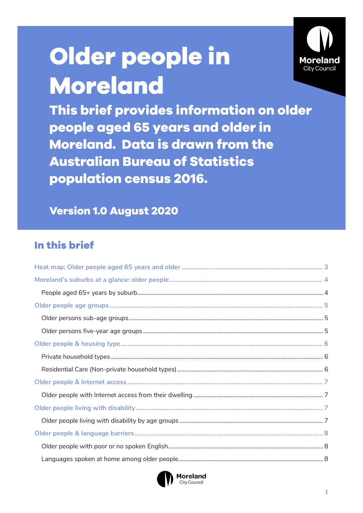# Older people in **Moreland**



This brief provides information on older people aged 65 years and older in **Moreland. Data is drawn from the Australian Bureau of Statistics** population census 2016.

## **Version 1.0 August 2020**

# In this brief

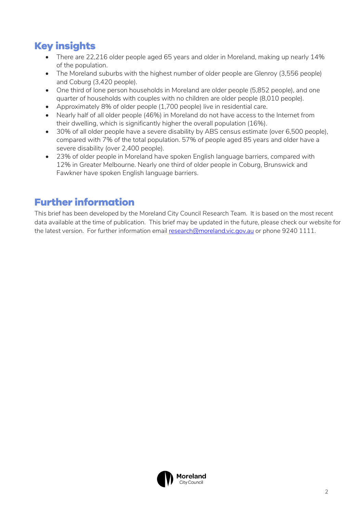# **Key insights**

- There are 22,216 older people aged 65 years and older in Moreland, making up nearly 14% of the population.
- The Moreland suburbs with the highest number of older people are Glenroy (3,556 people) and Coburg (3,420 people).
- One third of lone person households in Moreland are older people (5,852 people), and one quarter of households with couples with no children are older people (8,010 people).
- Approximately 8% of older people (1,700 people) live in residential care.
- Nearly half of all older people (46%) in Moreland do not have access to the Internet from their dwelling, which is significantly higher the overall population (16%).
- 30% of all older people have a severe disability by ABS census estimate (over 6,500 people), compared with 7% of the total population. 57% of people aged 85 years and older have a severe disability (over 2,400 people).
- 23% of older people in Moreland have spoken English language barriers, compared with 12% in Greater Melbourne. Nearly one third of older people in Coburg, Brunswick and Fawkner have spoken English language barriers.

## **Further information**

This brief has been developed by the Moreland City Council Research Team. It is based on the most recent data available at the time of publication. This brief may be updated in the future, please check our website for the latest version. For further information email [research@moreland.vic.gov.au](mailto:research@moreland.vic.gov.au) or phone 9240 1111.

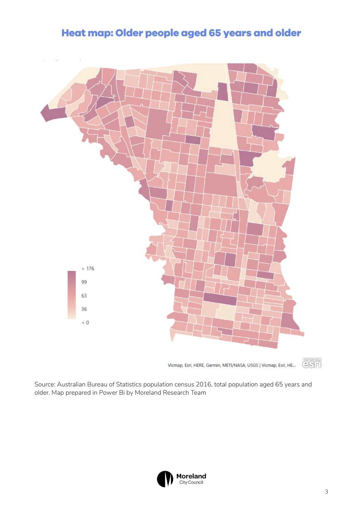## **Heat map: Older people aged 65 years and older**

<span id="page-2-0"></span>

Source: Australian Bureau of Statistics population census 2016, total population aged 65 years and older. Map prepared in Power Bi by Moreland Research Team

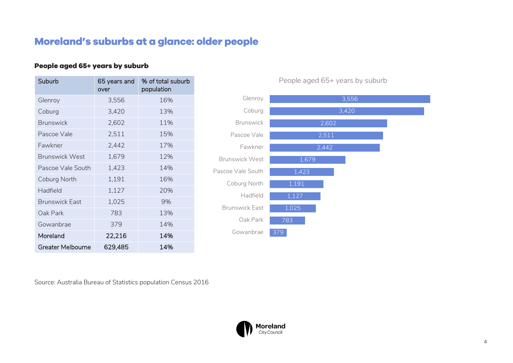## **Moreland's suburbs at a glance: older people**

### **People aged 65+ years by suburb**

| Suburb                   | 65 years and<br>over | % of total suburb<br>population |
|--------------------------|----------------------|---------------------------------|
| Glenroy                  | 3,556                | 16%                             |
| Coburg                   | 3,420                | 13%                             |
| <b>Brunswick</b>         | 2,602                | 11%                             |
| Pascoe Vale              | 2,511                | 15%                             |
| Fawkner                  | 2,442                | 17%                             |
| <b>Brunswick West</b>    | 1,679                | 12%                             |
| Pascoe Vale South        | 1,423                | 14%                             |
| Coburg North             | 1,191                | 16%                             |
| Hadfield                 | 1,127                | 20%                             |
| <b>Brunswick East</b>    | 1,025                | 9%                              |
| Oak Park                 | 783                  | 13%                             |
| Gowanbrae                | 379                  | 14%                             |
| Moreland                 | 22,216               | 14%                             |
| <b>Greater Melbourne</b> | 629,485              | 14%                             |

People aged 65+ years by suburb



<span id="page-3-1"></span><span id="page-3-0"></span>Source: Australia Bureau of Statistics population Census 2016

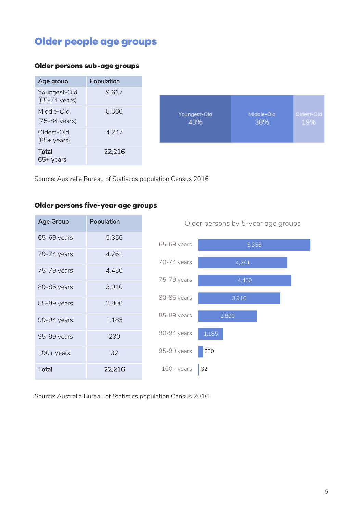# <span id="page-4-0"></span>**Older people age groups**

#### <span id="page-4-1"></span>**Older persons sub-age groups**



Source: Australia Bureau of Statistics population Census 2016

#### <span id="page-4-2"></span>**Older persons five-year age groups**

| Age Group           | Population |           |
|---------------------|------------|-----------|
| 65-69 years         | 5,356      | 65-69 y   |
| 70-74 years         | 4,261      | 70-74 y   |
| 75-79 years         | 4,450      | 75-79 y   |
| 80-85 years         | 3,910      | 80-85y    |
| 85-89 years         | 2,800      |           |
| 90-94 years         | 1,185      | 85-89 y   |
| 95-99 years         | 230        | 90-94 y   |
| $100 + \gamma$ ears | 32         | 95-99 y   |
| Total               | 22,216     | $100 + y$ |



Older persons by 5-year age groups

Source: Australia Bureau of Statistics population Census 2016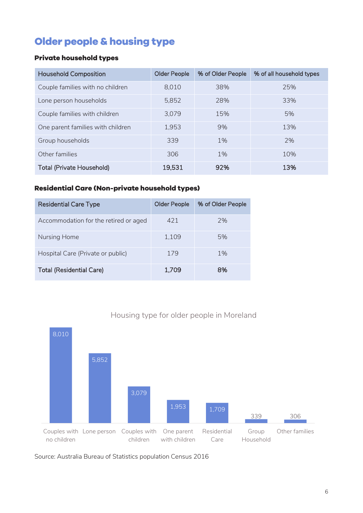# <span id="page-5-0"></span>**Older people & housing type**

## <span id="page-5-1"></span>**Private household types**

| <b>Household Composition</b>      | <b>Older People</b> | % of Older People | % of all household types |
|-----------------------------------|---------------------|-------------------|--------------------------|
| Couple families with no children  | 8,010               | 38%               | 25%                      |
| Lone person households            | 5,852               | 28%               | 33%                      |
| Couple families with children     | 3,079               | 15%               | 5%                       |
| One parent families with children | 1,953               | 9%                | 13%                      |
| Group households                  | 339                 | 1%                | 7%                       |
| Other families                    | 306                 | 1%                | 10%                      |
| <b>Total (Private Household)</b>  | 19,531              | 92%               | 13%                      |

## <span id="page-5-2"></span>**Residential Care (Non-private household types)**

| <b>Residential Care Type</b>          | <b>Older People</b> | % of Older People |
|---------------------------------------|---------------------|-------------------|
| Accommodation for the retired or aged | 421                 | 7%                |
| Nursing Home                          | 1,109               | 5%                |
| Hospital Care (Private or public)     | 179                 | $1\%$             |
| <b>Total (Residential Care)</b>       | 1,709               | 8%                |



## Housing type for older people in Moreland

Source: Australia Bureau of Statistics population Census 2016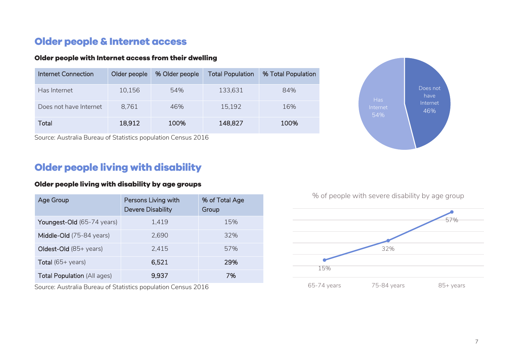## **Older people & Internet access**

### **Older people with Internet access from their dwelling**

| Internet Connection    | Older people | % Older people | <b>Total Population</b> | % Total Population |
|------------------------|--------------|----------------|-------------------------|--------------------|
| Has Internet           | 10,156       | 54%            | 133,631                 | 84%                |
| Does not have Internet | 8,761        | 46%            | 15,192                  | 16%                |
| Total                  | 18,912       | 100%           | 148,827                 | 100%               |

Source: Australia Bureau of Statistics population Census 2016

## **Older people living with disability**

### <span id="page-6-0"></span>**Older people living with disability by age groups**

<span id="page-6-1"></span>

| Age Group                          | Persons Living with<br><b>Devere Disability</b> | % of Total Age<br>Group |
|------------------------------------|-------------------------------------------------|-------------------------|
| Youngest-Old (65-74 years)         | 1,419                                           | 15%                     |
| Middle-Old (75-84 years)           | 2.690                                           | 32%                     |
| Oldest-Old (85+ years)             | 2.415                                           | 57%                     |
| <b>Total</b> (65+ years)           | 6,521                                           | 29%                     |
| <b>Total Population (All ages)</b> | 9.937                                           | 7%                      |

<span id="page-6-3"></span><span id="page-6-2"></span>Source: Australia Bureau of Statistics population Census 2016





% of people with severe disability by age group